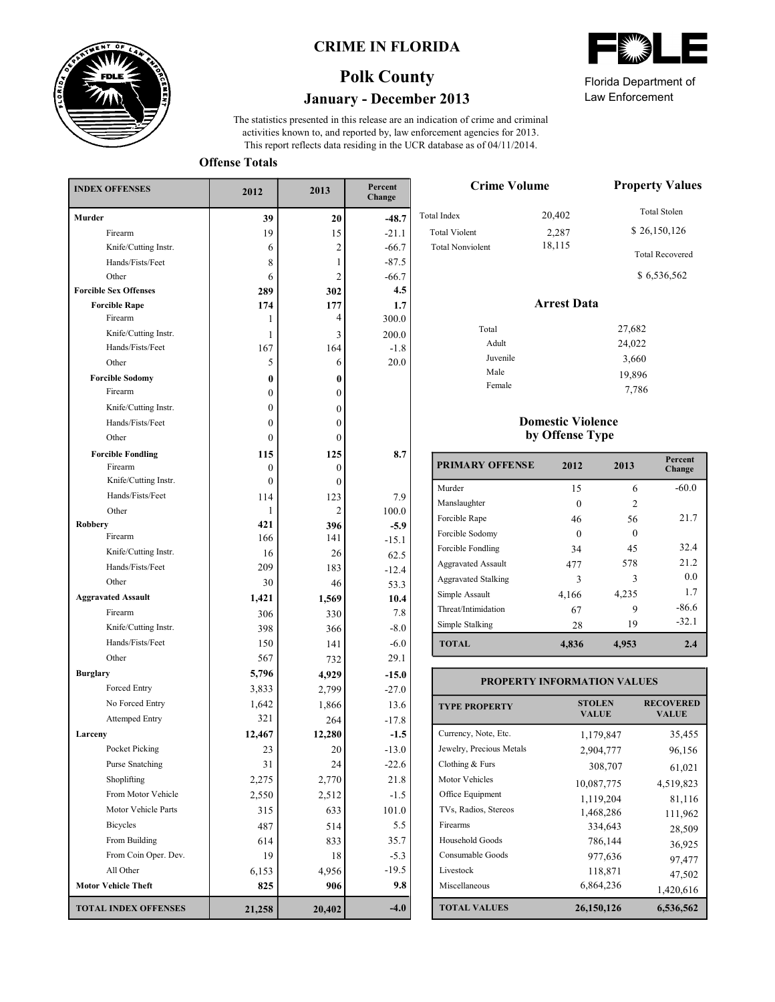

### **CRIME IN FLORIDA**



This report reflects data residing in the UCR database as of 04/11/2014. activities known to, and reported by, law enforcement agencies for 2013. The statistics presented in this release are an indication of crime and criminal

**Offense Totals**

| <b>INDEX OFFENSES</b>        | 2012         | 2013           | Percent<br>Change |  |
|------------------------------|--------------|----------------|-------------------|--|
| Murder                       | 39           | 20             | $-48.7$           |  |
| Firearm                      | 19           | 15             | $-21.1$           |  |
| Knife/Cutting Instr.         | 6            | $\overline{2}$ | $-66.7$           |  |
| Hands/Fists/Feet             | 8            | 1              | $-87.5$           |  |
| Other                        | 6            | 2              | $-66.7$           |  |
| <b>Forcible Sex Offenses</b> | 289          | 302            | 4.5               |  |
| <b>Forcible Rape</b>         | 174          | 177            | 1.7               |  |
| Firearm                      | 1            | 4              | 300.0             |  |
| Knife/Cutting Instr.         | 1            | 3              | 200.0             |  |
| Hands/Fists/Feet             | 167          | 164            | $-1.8$            |  |
| Other                        | 5            | 6              | 20.0              |  |
| <b>Forcible Sodomy</b>       | $\bf{0}$     | 0              |                   |  |
| Firearm                      | $\mathbf{0}$ | $\mathbf{0}$   |                   |  |
| Knife/Cutting Instr.         | $\mathbf{0}$ | $\overline{0}$ |                   |  |
| Hands/Fists/Feet             | $\mathbf{0}$ | $\mathbf{0}$   |                   |  |
| Other                        | $\mathbf{0}$ | $\mathbf{0}$   |                   |  |
| <b>Forcible Fondling</b>     | 115          | 125            | 8.7               |  |
| Firearm                      | $\mathbf{0}$ | $\mathbf{0}$   |                   |  |
| Knife/Cutting Instr.         | $\theta$     | $\mathbf{0}$   |                   |  |
| Hands/Fists/Feet             | 114          | 123            | 7.9               |  |
| Other                        | 1            | 2              | 100.0             |  |
| <b>Robbery</b><br>Firearm    | 421          | 396            | $-5.9$            |  |
| Knife/Cutting Instr.         | 166          | 141            | $-15.1$           |  |
| Hands/Fists/Feet             | 16           | 26             | 62.5              |  |
| Other                        | 209          | 183            | $-12.4$           |  |
| <b>Aggravated Assault</b>    | 30           | 46             | 53.3              |  |
|                              | 1,421        | 1,569          | 10.4              |  |
| Firearm                      | 306          | 330            | 7.8               |  |
| Knife/Cutting Instr.         | 398          | 366            | $-8.0$            |  |
| Hands/Fists/Feet             | 150          | 141            | $-6.0$            |  |
| Other                        | 567          | 732            | 29.1              |  |
| <b>Burglary</b>              | 5,796        | 4,929          | $-15.0$           |  |
| Forced Entry                 | 3,833        | 2,799          | $-27.0$           |  |
| No Forced Entry              | 1,642        | 1,866          | 13.6              |  |
| Attemped Entry               | 321          | 264            | $-17.8$           |  |
| Larceny                      | 12,467       | 12,280         | $-1.5$            |  |
| Pocket Picking               | 23           | 20             | $-13.0$           |  |
| Purse Snatching              | 31           | 24             | $-22.6$           |  |
| Shoplifting                  | 2,275        | 2,770          | 21.8              |  |
| From Motor Vehicle           | 2,550        | 2,512          | $-1.5$            |  |
| Motor Vehicle Parts          | 315          | 633            | 101.0             |  |
| <b>Bicycles</b>              | 487          | 514            | 5.5               |  |
| From Building                | 614          | 833            | 35.7              |  |
| From Coin Oper. Dev.         | 19           | 18             | $-5.3$            |  |
| All Other                    | 6,153        | 4,956          | $-19.5$           |  |
| <b>Motor Vehicle Theft</b>   | 825          | 906            | 9.8               |  |
| <b>TOTAL INDEX OFFENSES</b>  | 21,258       | 20,402         | $-4.0$            |  |

|--|

Law Enforcement Florida Department of

7,786

| <b>Crime Volume</b>     | <b>Property Values</b> |                        |
|-------------------------|------------------------|------------------------|
| Total Index             | 20,402                 | <b>Total Stolen</b>    |
| <b>Total Violent</b>    | 2,287                  | \$26,150,126           |
| <b>Total Nonviolent</b> | 18,115                 | <b>Total Recovered</b> |
|                         |                        | \$6,536,562            |
|                         | <b>Arrest Data</b>     |                        |
| Total                   |                        | 27,682                 |
| Adult                   |                        | 24,022                 |
| Juvenile                |                        | 3,660                  |
| Male                    |                        | 19,896                 |
|                         |                        |                        |

### **Domestic Violence by Offense Type**

Female

| <b>PRIMARY OFFENSE</b>     | 2012  | 2013           | Percent<br>Change |
|----------------------------|-------|----------------|-------------------|
| Murder                     | 15    | 6              | $-60.0$           |
| Manslaughter               | 0     | $\overline{c}$ |                   |
| Forcible Rape              | 46    | 56             | 21.7              |
| Forcible Sodomy            | 0     | $\Omega$       |                   |
| Forcible Fondling          | 34    | 45             | 32.4              |
| <b>Aggravated Assault</b>  | 477   | 578            | 21.2              |
| <b>Aggravated Stalking</b> | 3     | ٦              | 0.0               |
| Simple Assault             | 4,166 | 4,235          | 1.7               |
| Threat/Intimidation        | 67    | 9              | $-86.6$           |
| Simple Stalking            | 28    | 19             | $-32.1$           |
| <b>TOTAL</b>               | 4,836 | 4,953          | 2.4               |

#### **TOTAL VALUES VALUE VALUE TYPE PROPERTY STOLEN RECOVERED PROPERTY INFORMATION VALUES** Currency, Note, Etc. Jewelry, Precious Metals Clothing & Furs Motor Vehicles Office Equipment TVs, Radios, Stereos Firearms Household Goods Consumable Goods Livestock Miscellaneous 1,179,847 35,455 2,904,777 96,156 308,707 61,021 10,087,775 4,519,823 1,119,204 81,116 1,468,286 111,962 334,643 28,509 786,144<br>977,636 97.477 977,636 97,477<br>118,871 47.502  $118,871$  47,502<br>6,864,236 1420,616 6,864,236 1,420,616 **26,150,126 6,536,562**